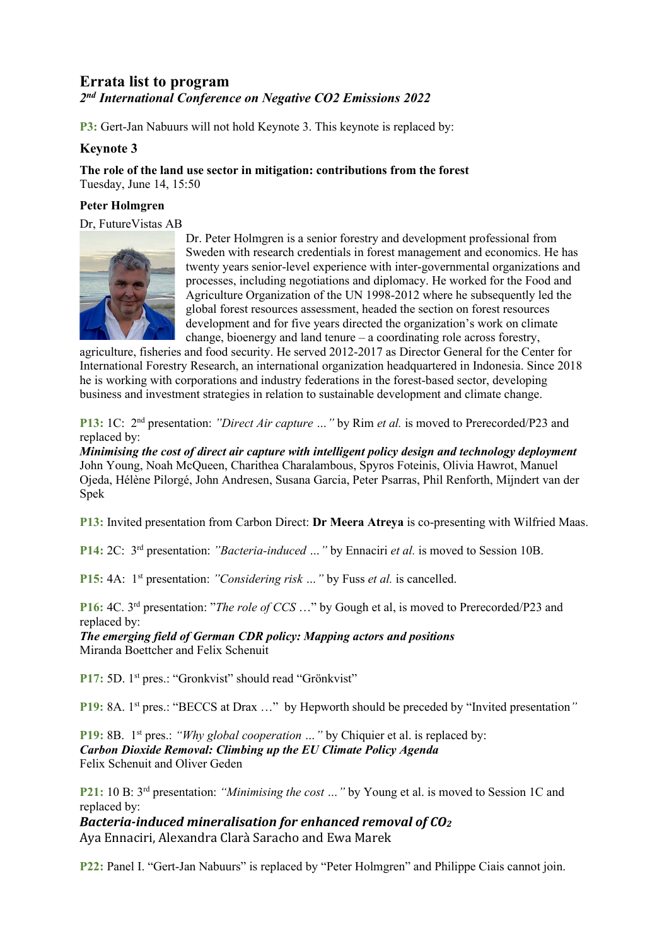## **Errata list to program** *2nd International Conference on Negative CO2 Emissions 2022*

**P3:** Gert-Jan Nabuurs will not hold Keynote 3. This keynote is replaced by:

## **Keynote 3**

**The role of the land use sector in mitigation: contributions from the forest** Tuesday, June 14, 15:50

## **Peter Holmgren**

Dr, FutureVistas AB



Dr. Peter Holmgren is a senior forestry and development professional from Sweden with research credentials in forest management and economics. He has twenty years senior-level experience with inter-governmental organizations and processes, including negotiations and diplomacy. He worked for the Food and Agriculture Organization of the UN 1998-2012 where he subsequently led the global forest resources assessment, headed the section on forest resources development and for five years directed the organization's work on climate change, bioenergy and land tenure – a coordinating role across forestry,

agriculture, fisheries and food security. He served 2012-2017 as Director General for the Center for International Forestry Research, an international organization headquartered in Indonesia. Since 2018 he is working with corporations and industry federations in the forest-based sector, developing business and investment strategies in relation to sustainable development and climate change.

**P13:** 1C: 2nd presentation: *"Direct Air capture …"* by Rim *et al.* is moved to Prerecorded/P23 and replaced by:

*Minimising the cost of direct air capture with intelligent policy design and technology deployment* John Young, Noah McQueen, Charithea Charalambous, Spyros Foteinis, Olivia Hawrot, Manuel Ojeda, Hélène Pilorgé, John Andresen, Susana Garcia, Peter Psarras, Phil Renforth, Mijndert van der Spek

**P13:** Invited presentation from Carbon Direct: **Dr Meera Atreya** is co-presenting with Wilfried Maas.

**P14:** 2C: 3rd presentation: *"Bacteria-induced …"* by Ennaciri *et al.* is moved to Session 10B.

**P15:** 4A: 1<sup>st</sup> presentation: *"Considering risk ...*" by Fuss *et al.* is cancelled.

**P16:** 4C. 3rd presentation: "*The role of CCS* …" by Gough et al, is moved to Prerecorded/P23 and replaced by:

*The emerging field of German CDR policy: Mapping actors and positions*  Miranda Boettcher and Felix Schenuit

**P17:** 5D. 1<sup>st</sup> pres.: "Gronkvist" should read "Grönkvist"

**P19:** 8A. 1st pres.: "BECCS at Drax …" by Hepworth should be preceded by "Invited presentation*"* 

**P19:** 8B. 1<sup>st</sup> pres.: *"Why global cooperation* ..." by Chiquier et al. is replaced by: *Carbon Dioxide Removal: Climbing up the EU Climate Policy Agenda* Felix Schenuit and Oliver Geden

**P21:** 10 B: 3rd presentation: *"Minimising the cost …"* by Young et al. is moved to Session 1C and replaced by:

*Bacteria-induced mineralisation for enhanced removal of CO2*

Aya Ennaciri, Alexandra Clarà Saracho and Ewa Marek

**P22:** Panel I. "Gert-Jan Nabuurs" is replaced by "Peter Holmgren" and Philippe Ciais cannot join.